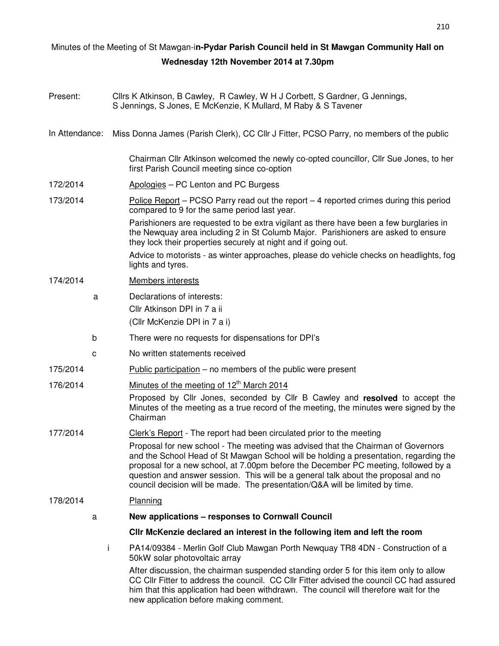## Minutes of the Meeting of St Mawgan-i**n-Pydar Parish Council held in St Mawgan Community Hall on Wednesday 12th November 2014 at 7.30pm**

| Present:       |   | Cllrs K Atkinson, B Cawley, R Cawley, W H J Corbett, S Gardner, G Jennings,<br>S Jennings, S Jones, E McKenzie, K Mullard, M Raby & S Tavener                                                                                                                                                                                                                                                                                         |  |  |  |
|----------------|---|---------------------------------------------------------------------------------------------------------------------------------------------------------------------------------------------------------------------------------------------------------------------------------------------------------------------------------------------------------------------------------------------------------------------------------------|--|--|--|
| In Attendance: |   | Miss Donna James (Parish Clerk), CC Cllr J Fitter, PCSO Parry, no members of the public                                                                                                                                                                                                                                                                                                                                               |  |  |  |
|                |   | Chairman Cllr Atkinson welcomed the newly co-opted councillor, Cllr Sue Jones, to her<br>first Parish Council meeting since co-option                                                                                                                                                                                                                                                                                                 |  |  |  |
| 172/2014       |   | Apologies - PC Lenton and PC Burgess                                                                                                                                                                                                                                                                                                                                                                                                  |  |  |  |
| 173/2014       |   | <u>Police Report</u> – PCSO Parry read out the report – 4 reported crimes during this period<br>compared to 9 for the same period last year.                                                                                                                                                                                                                                                                                          |  |  |  |
|                |   | Parishioners are requested to be extra vigilant as there have been a few burglaries in<br>the Newquay area including 2 in St Columb Major. Parishioners are asked to ensure<br>they lock their properties securely at night and if going out.                                                                                                                                                                                         |  |  |  |
|                |   | Advice to motorists - as winter approaches, please do vehicle checks on headlights, fog<br>lights and tyres.                                                                                                                                                                                                                                                                                                                          |  |  |  |
| 174/2014       |   | Members interests                                                                                                                                                                                                                                                                                                                                                                                                                     |  |  |  |
|                | a | Declarations of interests:<br>Cllr Atkinson DPI in 7 a ii<br>(Cllr McKenzie DPI in 7 a i)                                                                                                                                                                                                                                                                                                                                             |  |  |  |
|                | b | There were no requests for dispensations for DPI's                                                                                                                                                                                                                                                                                                                                                                                    |  |  |  |
|                | с | No written statements received                                                                                                                                                                                                                                                                                                                                                                                                        |  |  |  |
| 175/2014       |   | Public participation – no members of the public were present                                                                                                                                                                                                                                                                                                                                                                          |  |  |  |
| 176/2014       |   | Minutes of the meeting of 12 <sup>th</sup> March 2014                                                                                                                                                                                                                                                                                                                                                                                 |  |  |  |
|                |   | Proposed by Cllr Jones, seconded by Cllr B Cawley and resolved to accept the<br>Minutes of the meeting as a true record of the meeting, the minutes were signed by the<br>Chairman                                                                                                                                                                                                                                                    |  |  |  |
| 177/2014       |   | Clerk's Report - The report had been circulated prior to the meeting                                                                                                                                                                                                                                                                                                                                                                  |  |  |  |
|                |   | Proposal for new school - The meeting was advised that the Chairman of Governors<br>and the School Head of St Mawgan School will be holding a presentation, regarding the<br>proposal for a new school, at 7.00pm before the December PC meeting, followed by a<br>question and answer session. This will be a general talk about the proposal and no<br>council decision will be made. The presentation/Q&A will be limited by time. |  |  |  |
| 178/2014       |   | Planning                                                                                                                                                                                                                                                                                                                                                                                                                              |  |  |  |
|                | a | New applications – responses to Cornwall Council                                                                                                                                                                                                                                                                                                                                                                                      |  |  |  |
|                |   | CIIr McKenzie declared an interest in the following item and left the room                                                                                                                                                                                                                                                                                                                                                            |  |  |  |
|                |   | i.<br>PA14/09384 - Merlin Golf Club Mawgan Porth Newquay TR8 4DN - Construction of a<br>50kW solar photovoltaic array                                                                                                                                                                                                                                                                                                                 |  |  |  |
|                |   | After discussion, the chairman suspended standing order 5 for this item only to allow<br>CC CIIr Fitter to address the council. CC CIIr Fitter advised the council CC had assured<br>him that this application had been withdrawn. The council will therefore wait for the                                                                                                                                                            |  |  |  |

new application before making comment.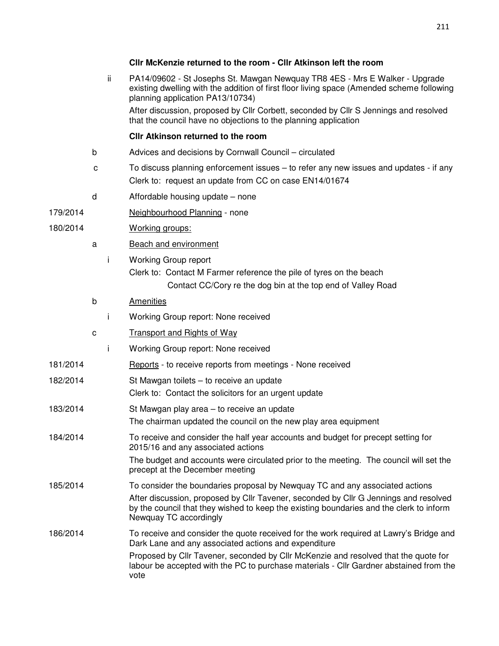## **Cllr McKenzie returned to the room - Cllr Atkinson left the room**

|          |   | ii. | PA14/09602 - St Josephs St. Mawgan Newquay TR8 4ES - Mrs E Walker - Upgrade<br>existing dwelling with the addition of first floor living space (Amended scheme following<br>planning application PA13/10734)<br>After discussion, proposed by Cllr Corbett, seconded by Cllr S Jennings and resolved<br>that the council have no objections to the planning application |
|----------|---|-----|-------------------------------------------------------------------------------------------------------------------------------------------------------------------------------------------------------------------------------------------------------------------------------------------------------------------------------------------------------------------------|
|          |   |     | Cllr Atkinson returned to the room                                                                                                                                                                                                                                                                                                                                      |
|          | b |     | Advices and decisions by Cornwall Council – circulated                                                                                                                                                                                                                                                                                                                  |
|          | с |     | To discuss planning enforcement issues – to refer any new issues and updates - if any<br>Clerk to: request an update from CC on case EN14/01674                                                                                                                                                                                                                         |
|          | d |     | Affordable housing update – none                                                                                                                                                                                                                                                                                                                                        |
| 179/2014 |   |     | Neighbourhood Planning - none                                                                                                                                                                                                                                                                                                                                           |
| 180/2014 |   |     | Working groups:                                                                                                                                                                                                                                                                                                                                                         |
|          | a |     | <b>Beach and environment</b>                                                                                                                                                                                                                                                                                                                                            |
|          |   | Ť   | <b>Working Group report</b><br>Clerk to: Contact M Farmer reference the pile of tyres on the beach<br>Contact CC/Cory re the dog bin at the top end of Valley Road                                                                                                                                                                                                      |
|          | b |     | <b>Amenities</b>                                                                                                                                                                                                                                                                                                                                                        |
|          |   | Ť   | Working Group report: None received                                                                                                                                                                                                                                                                                                                                     |
|          | C |     | <b>Transport and Rights of Way</b>                                                                                                                                                                                                                                                                                                                                      |
|          |   | j.  | Working Group report: None received                                                                                                                                                                                                                                                                                                                                     |
| 181/2014 |   |     | Reports - to receive reports from meetings - None received                                                                                                                                                                                                                                                                                                              |
| 182/2014 |   |     | St Mawgan toilets - to receive an update<br>Clerk to: Contact the solicitors for an urgent update                                                                                                                                                                                                                                                                       |
| 183/2014 |   |     | St Mawgan play area – to receive an update<br>The chairman updated the council on the new play area equipment                                                                                                                                                                                                                                                           |
| 184/2014 |   |     | To receive and consider the half year accounts and budget for precept setting for<br>2015/16 and any associated actions                                                                                                                                                                                                                                                 |
|          |   |     | The budget and accounts were circulated prior to the meeting. The council will set the<br>precept at the December meeting                                                                                                                                                                                                                                               |
| 185/2014 |   |     | To consider the boundaries proposal by Newquay TC and any associated actions                                                                                                                                                                                                                                                                                            |
|          |   |     | After discussion, proposed by Cllr Tavener, seconded by Cllr G Jennings and resolved<br>by the council that they wished to keep the existing boundaries and the clerk to inform<br>Newquay TC accordingly                                                                                                                                                               |
| 186/2014 |   |     | To receive and consider the quote received for the work required at Lawry's Bridge and<br>Dark Lane and any associated actions and expenditure                                                                                                                                                                                                                          |
|          |   |     | Proposed by Cllr Tavener, seconded by Cllr McKenzie and resolved that the quote for<br>labour be accepted with the PC to purchase materials - Cllr Gardner abstained from the<br>vote                                                                                                                                                                                   |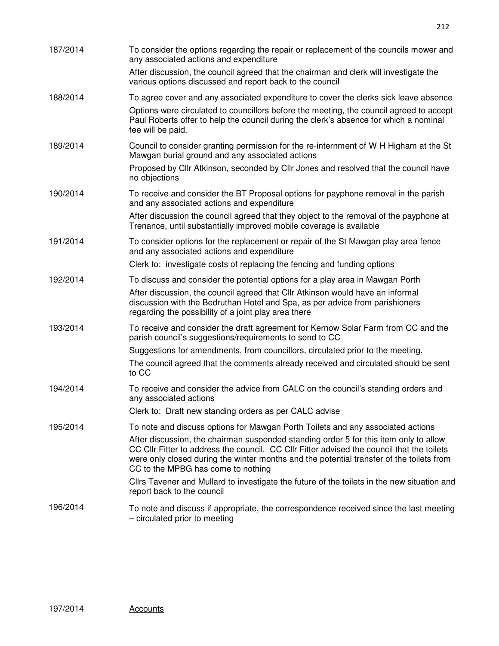| 187/2014 | To consider the options regarding the repair or replacement of the councils mower and<br>any associated actions and expenditure                                                                                                                                                                                       |
|----------|-----------------------------------------------------------------------------------------------------------------------------------------------------------------------------------------------------------------------------------------------------------------------------------------------------------------------|
|          | After discussion, the council agreed that the chairman and clerk will investigate the<br>various options discussed and report back to the council                                                                                                                                                                     |
| 188/2014 | To agree cover and any associated expenditure to cover the clerks sick leave absence                                                                                                                                                                                                                                  |
|          | Options were circulated to councillors before the meeting, the council agreed to accept<br>Paul Roberts offer to help the council during the clerk's absence for which a nominal<br>fee will be paid.                                                                                                                 |
| 189/2014 | Council to consider granting permission for the re-internment of W H Higham at the St<br>Mawgan burial ground and any associated actions                                                                                                                                                                              |
|          | Proposed by Cllr Atkinson, seconded by Cllr Jones and resolved that the council have<br>no objections                                                                                                                                                                                                                 |
| 190/2014 | To receive and consider the BT Proposal options for payphone removal in the parish<br>and any associated actions and expenditure                                                                                                                                                                                      |
|          | After discussion the council agreed that they object to the removal of the payphone at<br>Trenance, until substantially improved mobile coverage is available                                                                                                                                                         |
| 191/2014 | To consider options for the replacement or repair of the St Mawgan play area fence<br>and any associated actions and expenditure                                                                                                                                                                                      |
|          | Clerk to: investigate costs of replacing the fencing and funding options                                                                                                                                                                                                                                              |
| 192/2014 | To discuss and consider the potential options for a play area in Mawgan Porth                                                                                                                                                                                                                                         |
|          | After discussion, the council agreed that CIIr Atkinson would have an informal<br>discussion with the Bedruthan Hotel and Spa, as per advice from parishioners<br>regarding the possibility of a joint play area there                                                                                                |
| 193/2014 | To receive and consider the draft agreement for Kernow Solar Farm from CC and the<br>parish council's suggestions/requirements to send to CC                                                                                                                                                                          |
|          | Suggestions for amendments, from councillors, circulated prior to the meeting.                                                                                                                                                                                                                                        |
|          | The council agreed that the comments already received and circulated should be sent<br>to CC                                                                                                                                                                                                                          |
| 194/2014 | To receive and consider the advice from CALC on the council's standing orders and<br>any associated actions                                                                                                                                                                                                           |
|          | Clerk to: Draft new standing orders as per CALC advise                                                                                                                                                                                                                                                                |
| 195/2014 | To note and discuss options for Mawgan Porth Toilets and any associated actions                                                                                                                                                                                                                                       |
|          | After discussion, the chairman suspended standing order 5 for this item only to allow<br>CC CIIr Fitter to address the council. CC CIIr Fitter advised the council that the toilets<br>were only closed during the winter months and the potential transfer of the toilets from<br>CC to the MPBG has come to nothing |
|          | Cllrs Tavener and Mullard to investigate the future of the toilets in the new situation and<br>report back to the council                                                                                                                                                                                             |
| 196/2014 | To note and discuss if appropriate, the correspondence received since the last meeting<br>- circulated prior to meeting                                                                                                                                                                                               |